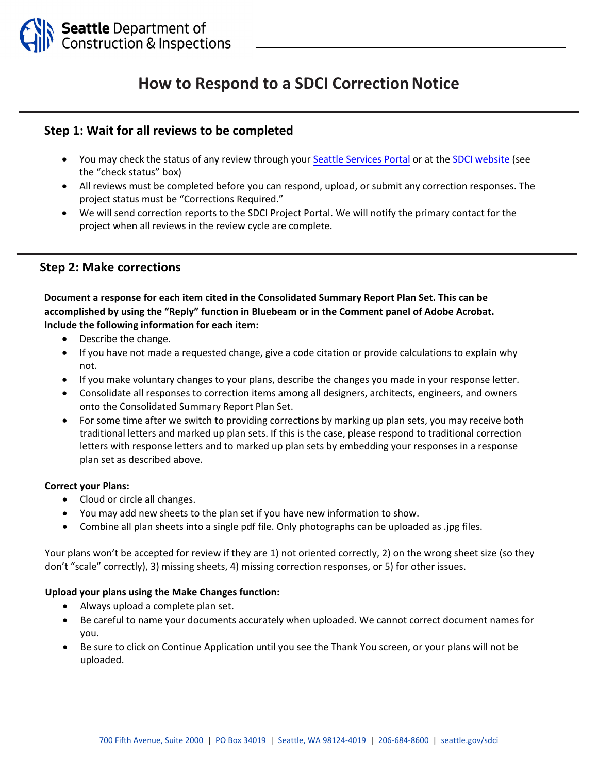

# **How to Respond to a SDCI Correction Notice**

### **Step 1: Wait for all reviews to be completed**

- You may check the status of any review through your Seattle [Services](https://cosaccela.seattle.gov/Portal/Welcome.aspx) Portal or at the SDCI [website](http://www.seattle.gov/sdci) (see the "check status" box)
- All reviews must be completed before you can respond, upload, or submit any correction responses. The project status must be "Corrections Required."
- We will send correction reports to the SDCI Project Portal. We will notify the primary contact for the project when all reviews in the review cycle are complete.

## **Step 2: Make corrections**

**Document a response for each item cited in the Consolidated Summary Report Plan Set. This can be accomplished by using the "Reply" function in Bluebeam or in the Comment panel of Adobe Acrobat. Include the following information for each item:**

- Describe the change.
- If you have not made a requested change, give a code citation or provide calculations to explain why not.
- If you make voluntary changes to your plans, describe the changes you made in your response letter.
- Consolidate all responses to correction items among all designers, architects, engineers, and owners onto the Consolidated Summary Report Plan Set.
- For some time after we switch to providing corrections by marking up plan sets, you may receive both traditional letters and marked up plan sets. If this is the case, please respond to traditional correction letters with response letters and to marked up plan sets by embedding your responses in a response plan set as described above.

#### **Correct your Plans:**

- Cloud or circle all changes.
- You may add new sheets to the plan set if you have new information to show.
- Combine all plan sheets into a single pdf file. Only photographs can be uploaded as .jpg files.

Your plans won't be accepted for review if they are 1) not oriented correctly, 2) on the wrong sheet size (so they don't "scale" correctly), 3) missing sheets, 4) missing correction responses, or 5) for other issues.

#### **Upload your plans using the Make Changes function:**

- Always upload a complete plan set.
- Be careful to name your documents accurately when uploaded. We cannot correct document names for you.
- Be sure to click on Continue Application until you see the Thank You screen, or your plans will not be uploaded.